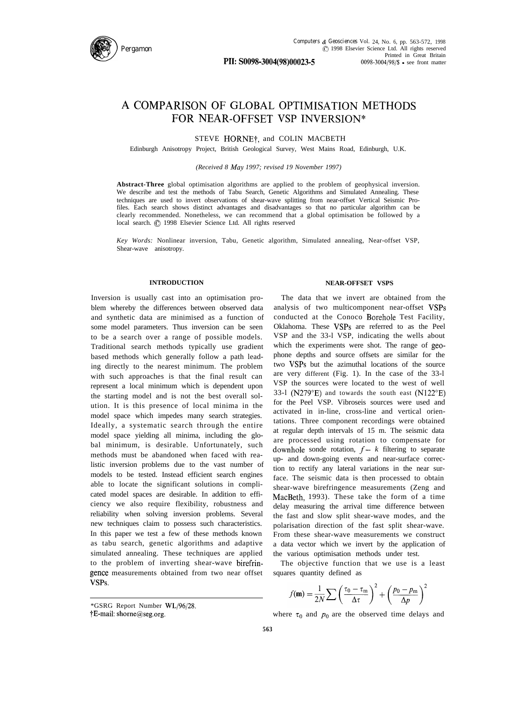

# A COMPARISON OF GLOBAL OPTIMISATION METHODS FOR NEAR-OFFSET VSP INVERSION\*

STEVE HORNE<sup>†</sup>, and COLIN MACBETH

Edinburgh Anisotropy Project, British Geological Survey, West Mains Road, Edinburgh, U.K.

*(Received 8 Ma,v 1997; revised 19 November 1997)*

**Abstract-Three** global optimisation algorithms are applied to the problem of geophysical inversion. We describe and test the methods of Tabu Search, Genetic Algorithms and Simulated Annealing. These techniques are used to invert observations of shear-wave splitting from near-offset Vertical Seismic Profiles. Each search shows distinct advantages and disadvantages so that no particular algorithm can be clearly recommended. Nonetheless, we can recommend that a global optimisation be followed by a local search.  $\odot$  1998 Elsevier Science Ltd. All rights reserved

*Key Words:* Nonlinear inversion, Tabu, Genetic algorithm, Simulated annealing, Near-offset VSP, Shear-wave anisotropy.

### **INTRODUCTION**

Inversion is usually cast into an optimisation problem whereby the differences between observed data and synthetic data are minimised as a function of some model parameters. Thus inversion can be seen to be a search over a range of possible models. Traditional search methods typically use gradient based methods which generally follow a path leading directly to the nearest minimum. The problem with such approaches is that the final result can represent a local minimum which is dependent upon the starting model and is not the best overall solution. It is this presence of local minima in the model space which impedes many search strategies. Ideally, a systematic search through the entire model space yielding all minima, including the global minimum, is desirable. Unfortunately, such methods must be abandoned when faced with realistic inversion problems due to the vast number of models to be tested. Instead efficient search engines able to locate the significant solutions in complicated model spaces are desirable. In addition to efficiency we also require flexibility, robustness and reliability when solving inversion problems. Several new techniques claim to possess such characteristics. In this paper we test a few of these methods known as tabu search, genetic algorithms and adaptive simulated annealing. These techniques are applied to the problem of inverting shear-wave birefringence measurements obtained from two near offset VSPS.

\*GSRG Report Number WL/96/28. TE-mail: shorne@seg.org.

### **NEAR-OFFSET VSPS**

The data that we invert are obtained from the analysis of two multicomponent near-offset VSPs conducted at the Conoco Borehole Test Facility, Oklahoma. These VSPs are referred to as the Peel VSP and the 33-l VSP, indicating the wells about which the experiments were shot. The range of geophone depths and source offsets are similar for the two VSPs but the azimuthal locations of the source are very different (Fig. 1). In the case of the 33-l VSP the sources were located to the west of well 33-l (N279"E) and towards the south east (N122"E) for the Peel VSP. Vibroseis sources were used and activated in in-line, cross-line and vertical orientations. Three component recordings were obtained at regular depth intervals of 15 m. The seismic data are processed using rotation to compensate for downhole sonde rotation,  $f - k$  filtering to separate up- and down-going events and near-surface correction to rectify any lateral variations in the near surface. The seismic data is then processed to obtain shear-wave birefringence measurements (Zeng and MacBeth, 1993). These take the form of a time delay measuring the arrival time difference between the fast and slow split shear-wave modes, and the polarisation direction of the fast split shear-wave. From these shear-wave measurements we construct a data vector which we invert by the application of the various optimisation methods under test.

The objective function that we use is a least squares quantity defined as

$$
f(\mathbf{m}) = \frac{1}{2N} \sum \left(\frac{\tau_0 - \tau_{\rm m}}{\Delta \tau}\right)^2 + \left(\frac{p_0 - p_{\rm m}}{\Delta p}\right)^2
$$

where  $\tau_0$  and  $p_0$  are the observed time delays and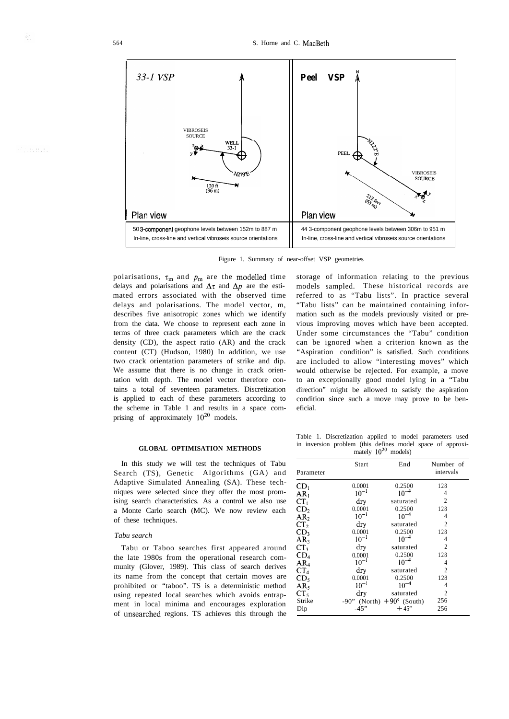



polarisations,  $\tau_m$  and  $p_m$  are the modelled time delays and polarisations and  $\Delta \tau$  and  $\Delta p$  are the estimated errors associated with the observed time delays and polarisations. The model vector, m, describes five anisotropic zones which we identify from the data. We choose to represent each zone in terms of three crack parameters which are the crack density (CD), the aspect ratio (AR) and the crack content (CT) (Hudson, 1980) In addition, we use two crack orientation parameters of strike and dip. We assume that there is no change in crack orientation with depth. The model vector therefore contains a total of seventeen parameters. Discretization is applied to each of these parameters according to the scheme in Table 1 and results in a space comprising of approximately  $10^{20}$  models.

### **GLOBAL OPTIMISATION METHODS**

In this study we will test the techniques of Tabu Search (TS), Genetic Algorithms (GA) and Adaptive Simulated Annealing (SA). These techniques were selected since they offer the most promising search characteristics. As a control we also use a Monte Carlo search (MC). We now review each of these techniques.

### *Tabu search*

Tabu or Taboo searches first appeared around the late 1980s from the operational research community (Glover, 1989). This class of search derives its name from the concept that certain moves are prohibited or "taboo". TS is a deterministic method using repeated local searches which avoids entrapment in local minima and encourages exploration of unsearched regions. TS achieves this through the

storage of information relating to the previous models sampled. These historical records are referred to as "Tabu lists". In practice several "Tabu lists" can be maintained containing information such as the models previously visited or previous improving moves which have been accepted. Under some circumstances the "Tabu" condition can be ignored when a criterion known as the "Aspiration condition" is satisfied. Such conditions are included to allow "interesting moves" which would otherwise be rejected. For example, a move to an exceptionally good model lying in a "Tabu direction" might be allowed to satisfy the aspiration condition since such a move may prove to be beneficial.

Table 1. Discretization applied to model parameters used in inversion problem (this defines model space of approximately  $10^{20}$  models)

| Parameter       | Start     | End                                   | Number of<br>intervals |
|-----------------|-----------|---------------------------------------|------------------------|
| CD <sub>1</sub> | 0.0001    | 0.2500                                | 128                    |
| AR <sub>1</sub> | $10^{-1}$ | $10^{-4}$                             | 4                      |
| $CT_1$          | dry       | saturated                             | $\overline{c}$         |
| CD <sub>2</sub> | 0.0001    | 0.2500                                | 128                    |
| AR <sub>2</sub> | $10^{-1}$ | $10^{-4}$                             | 4                      |
| CT <sub>2</sub> | dry       | saturated                             | 2                      |
| CD <sub>3</sub> | 0.0001    | 0.2500                                | 128                    |
| AR <sub>3</sub> | $10^{-1}$ | $10^{-4}$                             | 4                      |
| CT <sub>3</sub> | dry       | saturated                             | 2                      |
| CD <sub>4</sub> | 0.0001    | 0.2500                                | 128                    |
| AR <sub>4</sub> | $10^{-1}$ | $10^{-4}$                             | 4                      |
| CT <sub>4</sub> | dry       | saturated                             | $\mathfrak{D}$         |
| CD <sub>5</sub> | 0.0001    | 0.2500                                | 128                    |
| AR <sub>s</sub> | $10^{-1}$ | $10^{-4}$                             | 4                      |
| CT,             | drv       | saturated                             | 2                      |
| Strike          |           | $-90$ " (North) $+90^{\circ}$ (South) | 256                    |
| Dip             | $-45"$    | $+45"$                                | 256                    |

Albertador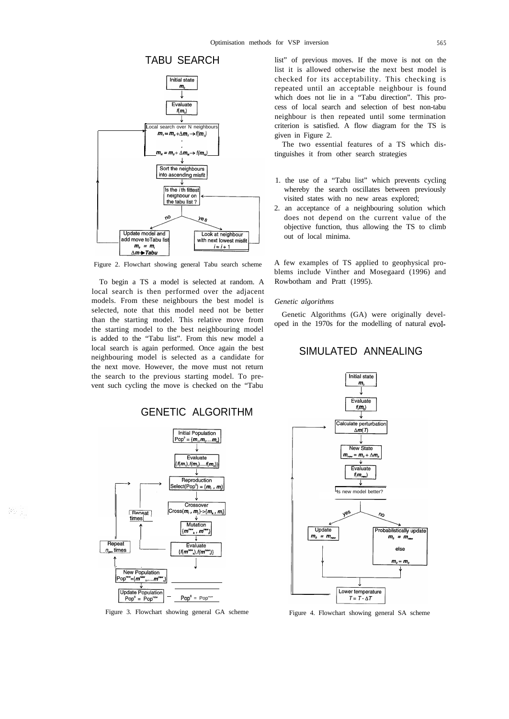



Figure 2. Flowchart showing general Tabu search scheme

To begin a TS a model is selected at random. A local search is then performed over the adjacent models. From these neighbours the best model is selected, note that this model need not be better than the starting model. This relative move from the starting model to the best neighbouring model is added to the "Tabu list". From this new model a local search is again performed. Once again the best neighbouring model is selected as a candidate for the next move. However, the move must not return the search to the previous starting model. To prevent such cycling the move is checked on the "Tabu



器肌

Figure 3. Flowchart showing general GA scheme

list" of previous moves. If the move is not on the list it is allowed otherwise the next best model is checked for its acceptability. This checking is repeated until an acceptable neighbour is found which does not lie in a "Tabu direction". This process of local search and selection of best non-tabu neighbour is then repeated until some termination criterion is satisfied. A flow diagram for the TS is given in Figure 2.

The two essential features of a TS which distinguishes it from other search strategies

- 1. the use of a "Tabu list" which prevents cycling whereby the search oscillates between previously visited states with no new areas explored;
- 2. an acceptance of a neighbouring solution which does not depend on the current value of the objective function, thus allowing the TS to climb out of local minima.

A few examples of TS applied to geophysical problems include Vinther and Mosegaard (1996) and Rowbotham and Pratt (1995).

### *Genetic algorithms*

Genetic Algorithms (GA) were originally developed in the 1970s for the modelling of natural evol-

# SIMULATED ANNEALING



Figure 4. Flowchart showing general SA scheme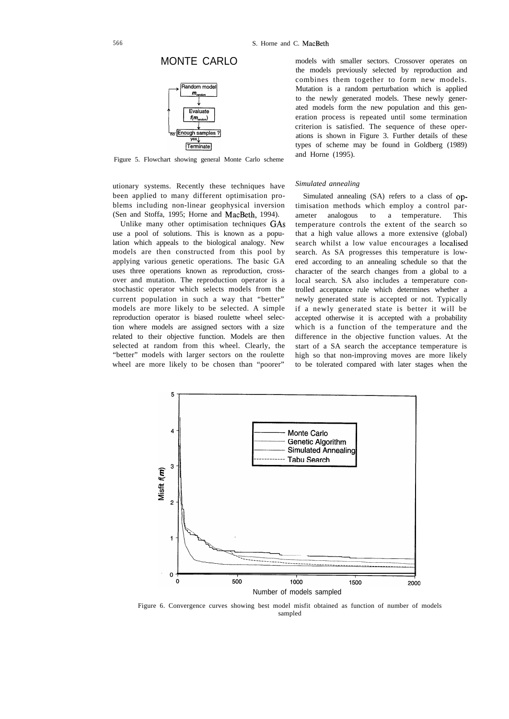## MONTE CARLO



Figure 5. Flowchart showing general Monte Carlo scheme

utionary systems. Recently these techniques have been applied to many different optimisation problems including non-linear geophysical inversion (Sen and Stoffa, 1995; Horne and MacBeth, 1994).

Unlike many other optimisation techniques GAS use a pool of solutions. This is known as a population which appeals to the biological analogy. New models are then constructed from this pool by applying various genetic operations. The basic GA uses three operations known as reproduction, crossover and mutation. The reproduction operator is a stochastic operator which selects models from the current population in such a way that "better" models are more likely to be selected. A simple reproduction operator is biased roulette wheel selection where models are assigned sectors with a size related to their objective function. Models are then selected at random from this wheel. Clearly, the "better" models with larger sectors on the roulette wheel are more likely to be chosen than "poorer"

models with smaller sectors. Crossover operates on the models previously selected by reproduction and combines them together to form new models. Mutation is a random perturbation which is applied to the newly generated models. These newly generated models form the new population and this generation process is repeated until some termination criterion is satisfied. The sequence of these operations is shown in Figure 3. Further details of these types of scheme may be found in Goldberg (1989) and Horne (1995).

### *Simulated annealing*

Simulated annealing (SA) refers to a class of optimisation methods which employ a control parameter analogous to a temperature. This temperature controls the extent of the search so that a high value allows a more extensive (global) search whilst a low value encourages a localised search. As SA progresses this temperature is lowered according to an annealing schedule so that the character of the search changes from a global to a local search. SA also includes a temperature controlled acceptance rule which determines whether a newly generated state is accepted or not. Typically if a newly generated state is better it will be accepted otherwise it is accepted with a probability which is a function of the temperature and the difference in the objective function values. At the start of a SA search the acceptance temperature is high so that non-improving moves are more likely to be tolerated compared with later stages when the



Figure 6. Convergence curves showing best model misfit obtained as function of number of models sampled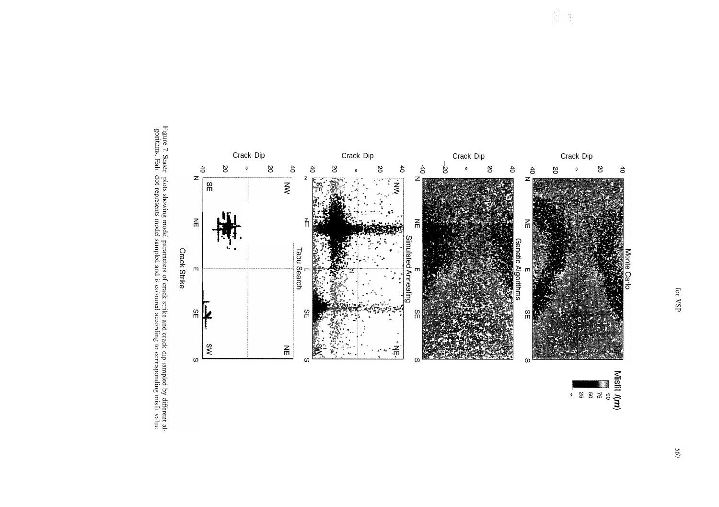



Misfit  $f(m)$ <br>  $\frac{1}{25}$ <br>  $\frac{1}{25}$ <br>  $\frac{25}{25}$ 

薪票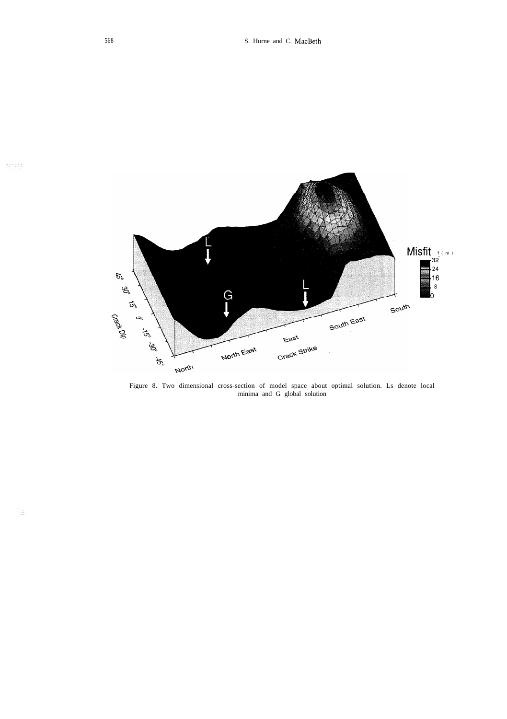

Figure 8. Two dimensional cross-section of model space about optimal solution. Ls denote local minima and G global solution

 $\langle \phi \rangle$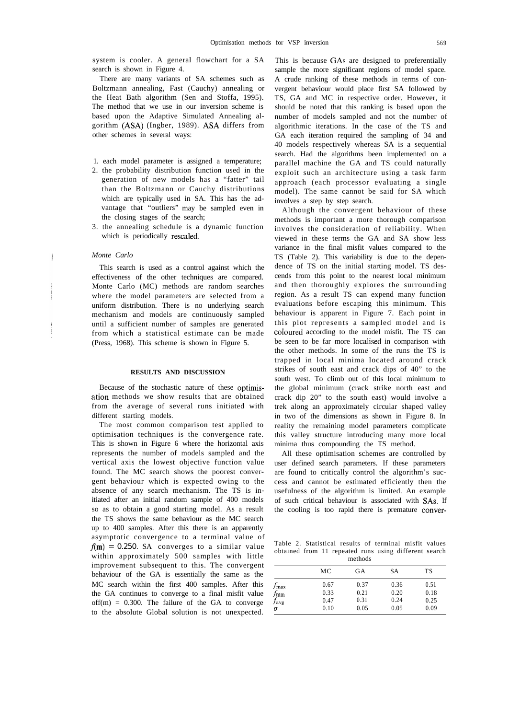system is cooler. A general flowchart for a SA search is shown in Figure 4.

There are many variants of SA schemes such as Boltzmann annealing, Fast (Cauchy) annealing or the Heat Bath algorithm (Sen and Stoffa, 1995). The method that we use in our inversion scheme is based upon the Adaptive Simulated Annealing algorithm (ASA) (Ingber, 1989). ASA differs from other schemes in several ways:

- 1. each model parameter is assigned a temperature;
- 2. the probability distribution function used in the generation of new models has a "fatter" tail than the Boltzmann or Cauchy distributions which are typically used in SA. This has the advantage that "outliers" may be sampled even in the closing stages of the search;
- 3. the annealing schedule is a dynamic function which is periodically rescaled.

### *Monte Carlo*

This search is used as a control against which the effectiveness of the other techniques are compared. Monte Carlo (MC) methods are random searches where the model parameters are selected from a uniform distribution. There is no underlying search mechanism and models are continuously sampled until a sufficient number of samples are generated from which a statistical estimate can be made (Press, 1968). This scheme is shown in Figure 5.

### **RESULTS AND DISCUSSION**

Because of the stochastic nature of these optimisation methods we show results that are obtained from the average of several runs initiated with different starting models.

The most common comparison test applied to optimisation techniques is the convergence rate. This is shown in Figure 6 where the horizontal axis represents the number of models sampled and the vertical axis the lowest objective function value found. The MC search shows the poorest convergent behaviour which is expected owing to the absence of any search mechanism. The TS is initiated after an initial random sample of 400 models so as to obtain a good starting model. As a result the TS shows the same behaviour as the MC search up to 400 samples. After this there is an apparently asymptotic convergence to a terminal value of  $f(m) = 0.250$ . SA converges to a similar value within approximately 500 samples with little improvement subsequent to this. The convergent behaviour of the GA is essentially the same as the MC search within the first 400 samples. After this the GA continues to converge to a final misfit value  $off(m) = 0.300$ . The failure of the GA to converge to the absolute Global solution is not unexpected.

This is because GAS are designed to preferentially sample the more significant regions of model space. A crude ranking of these methods in terms of convergent behaviour would place first SA followed by TS, GA and MC in respective order. However, it should be noted that this ranking is based upon the number of models sampled and not the number of algorithmic iterations. In the case of the TS and GA each iteration required the sampling of 34 and 40 models respectively whereas SA is a sequential search. Had the algorithms been implemented on a parallel machine the GA and TS could naturally exploit such an architecture using a task farm approach (each processor evaluating a single model). The same cannot be said for SA which involves a step by step search.

Although the convergent behaviour of these methods is important a more thorough comparison involves the consideration of reliability. When viewed in these terms the GA and SA show less variance in the final misfit values compared to the TS (Table 2). This variability is due to the dependence of TS on the initial starting model. TS descends from this point to the nearest local minimum and then thoroughly explores the surrounding region. As a result TS can expend many function evaluations before escaping this minimum. This behaviour is apparent in Figure 7. Each point in this plot represents a sampled model and is coloured according to the model misfit. The TS can be seen to be far more localised in comparison with the other methods. In some of the runs the TS is trapped in local minima located around crack strikes of south east and crack dips of 40" to the south west. To climb out of this local minimum to the global minimum (crack strike north east and crack dip 20" to the south east) would involve a trek along an approximately circular shaped valley in two of the dimensions as shown in Figure 8. In reality the remaining model parameters complicate this valley structure introducing many more local minima thus compounding the TS method.

All these optimisation schemes are controlled by user defined search parameters. If these parameters are found to critically control the algorithm's success and cannot be estimated efficiently then the usefulness of the algorithm is limited. An example of such critical behaviour is associated with SAs. If the cooling is too rapid there is premature conver-

Table 2. Statistical results of terminal misfit values obtained from 11 repeated runs using different search methods

|                                                       | МC                           | GА                           | SА                           | TS                           |
|-------------------------------------------------------|------------------------------|------------------------------|------------------------------|------------------------------|
| $J_{\rm max}$<br>$J$ min<br>$f_{\rm avg}$<br>$\sigma$ | 0.67<br>0.33<br>0.47<br>0.10 | 0.37<br>0.21<br>0.31<br>0.05 | 0.36<br>0.20<br>0.24<br>0.05 | 0.51<br>0.18<br>0.25<br>0.09 |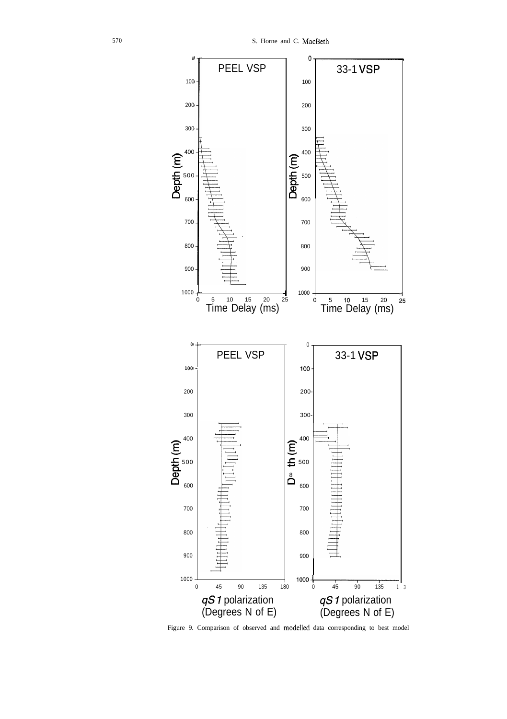

Figure 9. Comparison of observed and modelled data corresponding to best model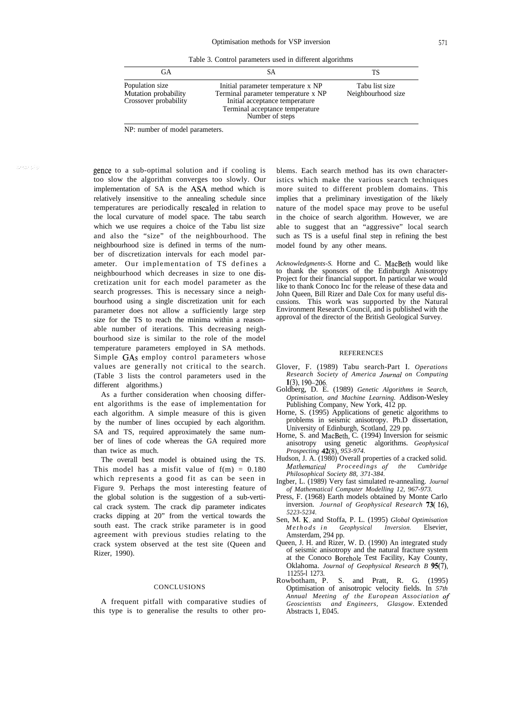Table 3. Control parameters used in different algorithms

| GА                                                               | SА                                                                                                                                                                | TS                                   |
|------------------------------------------------------------------|-------------------------------------------------------------------------------------------------------------------------------------------------------------------|--------------------------------------|
| Population size<br>Mutation probability<br>Crossover probability | Initial parameter temperature x NP<br>Terminal parameter temperature x NP<br>Initial acceptance temperature<br>Terminal acceptance temperature<br>Number of steps | Tabu list size<br>Neighbourhood size |

NP: number of model parameters.

arkar silai

gence to a sub-optimal solution and if cooling is too slow the algorithm converges too slowly. Our implementation of SA is the ASA method which is relatively insensitive to the annealing schedule since temperatures are periodically resealed in relation to the local curvature of model space. The tabu search which we use requires a choice of the Tabu list size and also the "size" of the neighbourhood. The neighbourhood size is defined in terms of the number of discretization intervals for each model parameter. Our implementation of TS defines a neighbourhood which decreases in size to one discretization unit for each model parameter as the search progresses. This is necessary since a neighbourhood using a single discretization unit for each parameter does not allow a sufficiently large step size for the TS to reach the minima within a reasonable number of iterations. This decreasing neighbourhood size is similar to the role of the model temperature parameters employed in SA methods. Simple GAS employ control parameters whose values are generally not critical to the search. (Table 3 lists the control parameters used in the different algorithms.)

As a further consideration when choosing different algorithms is the ease of implementation for each algorithm. A simple measure of this is given by the number of lines occupied by each algorithm. SA and TS, required approximately the same number of lines of code whereas the GA required more than twice as much.

The overall best model is obtained using the TS. This model has a misfit value of  $f(m) = 0.180$ which represents a good fit as can be seen in Figure 9. Perhaps the most interesting feature of the global solution is the suggestion of a sub-vertical crack system. The crack dip parameter indicates cracks dipping at 20" from the vertical towards the south east. The crack strike parameter is in good agreement with previous studies relating to the crack system observed at the test site (Queen and Rizer, 1990).

### CONCLUSIONS

A frequent pitfall with comparative studies of this type is to generalise the results to other problems. Each search method has its own characteristics which make the various search techniques more suited to different problem domains. This implies that a preliminary investigation of the likely nature of the model space may prove to be useful in the choice of search algorithm. However, we are able to suggest that an "aggressive" local search such as TS is a useful final step in refining the best model found by any other means.

*Acknowledgments-S.* Horne and C. MacBeth would like to thank the sponsors of the Edinburgh Anisotropy Project for their financial support. In particular we would like to thank Conoco Inc for the release of these data and John Queen, Bill Rizer and Dale Cox for many useful discussions. This work was supported by the Natural Environment Research Council, and is published with the approval of the director of the British Geological Survey.

### **REFERENCES**

- Glover, F. (1989) Tabu search-Part I. *Operations Research Society of America Journnl on Computing* l(3), 190-206.
- Goldberg, D. E. (1989) *Genetic Algorithms in Search, Optimisation, and Machine Learning.* Addison-Wesley Publishing Company, New York, 412 pp.
- Horne, S. (1995) Applications of genetic algorithms to problems in seismic anisotropy. Ph.D dissertation, University of Edinburgh, Scotland, 229 pp.
- Horne, S. and MacBeth, C. (1994) Inversion for seismic anisotropy using genetic algorithms. *Geophysical Prospecting 42(8), 953-974.*
- Hudson, J. A. (1980) Overall properties of a cracked solid. *Mathematicnl Proceedings qf the Cumbridge Philosophical Society 88, 371-384.*
- Ingber, L. (1989) Very fast simulated re-annealing. *Journal of Mathematical Computer Modelling 12, 967-973.*
- Press, F. (1968) Earth models obtained by Monte Carlo inversion. *Journal of Geophysical Research 73( 16), 5223-5234.*
- Sen, M. K. and Stoffa, P. L. (1995) *Global Optimisation* *in* **Geophysical** Amsterdam, 294 pp.
- Queen, J. H. and Rizer, W. D. (1990) An integrated study of seismic anisotropy and the natural fracture system at the Conoco Borehole Test Facility, Kay County, Oklahoma. *Journal of Geophysical Research B 95(7),* 11255-1 1273.<br>Rowbotham, P.
- Rowbotham, P. S. and Pratt, R. G. (1995) Optimisation of anisotropic velocity fields. In *57th Annual Meeting qf the European Association qf Geoscientists and Engineers, Glasgow.* Extended Abstracts 1, E045.